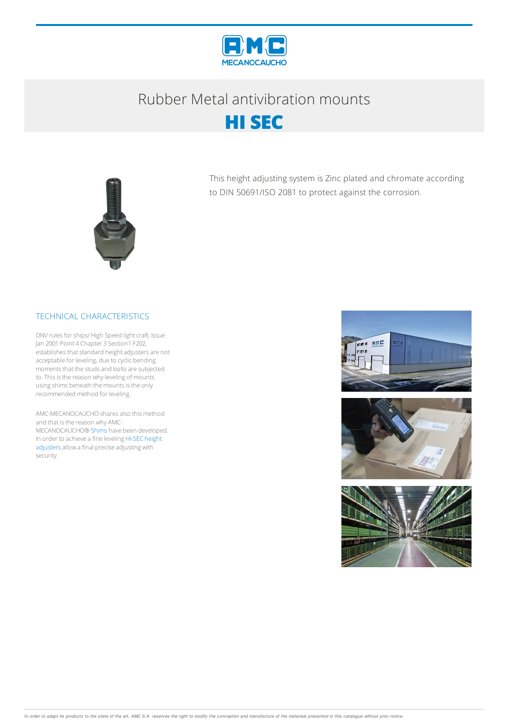

## Rubber Metalantivibration mounts





This height adjusting system is Zinc plated and chromate according to DIN 50691/ISO 2081 to protect against the corrosion.

## TECHNICAL CHARACTERISTICS

DNV rules for ships/ High Speed light craft, Issue Jan 2001 Point 4 Chapter 3 Section1 F202, establishes that standard height adjusters are not acceptable for leveling, due to cyclic bending moments that the studs and bolts are subjected to. This is the reason why leveling of mounts using shims beneath the mounts is the only recommended method for leveling.

AMC-MECANOCAUCHO shares also this method and that is the reason why AMC-MECANOCAUCHO® Shims have been developed. In order to achieve a fine leveling HI-SEC height adjusters allow a final precise adjusting with security.